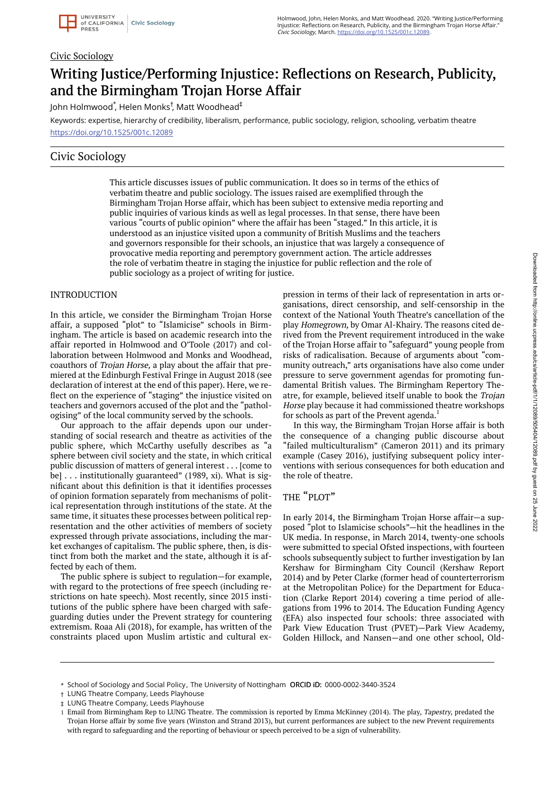#### Civic Sociology

# Writing Justice/Performing Injustice: Reflections on Research, Publicity, and the Birmingham Trojan Horse Affair

John Holmwood ٌ, Helen Monks<sup>†</sup>, Matt Woodhead $^\ddag$ 

Keywords: expertise, hierarchy of credibility, liberalism, performance, public sociology, religion, schooling, verbatim theatre https://doi.org/10.1525/001c.12089

### Civic Sociology

This article discusses issues of public communication. It does so in terms of the ethics of verbatim theatre and public sociology. The issues raised are exemplified through the Birmingham Trojan Horse affair, which has been subject to extensive media reporting and public inquiries of various kinds as well as legal processes. In that sense, there have been various "courts of public opinion" where the affair has been "staged." In this article, it is understood as an injustice visited upon a community of British Muslims and the teachers and governors responsible for their schools, an injustice that was largely a consequence of provocative media reporting and peremptory government action. The article addresses the role of verbatim theatre in staging the injustice for public reflection and the role of public sociology as a project of writing for justice.

#### INTRODUCTION

In this article, we consider the Birmingham Trojan Horse affair, a supposed "plot" to "Islamicise" schools in Birmingham. The article is based on academic research into the affair reported in Holmwood and O'Toole (2017) and collaboration between Holmwood and Monks and Woodhead, coauthors of Trojan Horse, a play about the affair that premiered at the Edinburgh Festival Fringe in August 2018 (see declaration of interest at the end of this paper). Here, we reflect on the experience of "staging" the injustice visited on teachers and governors accused of the plot and the "pathologising" of the local community served by the schools.

Our approach to the affair depends upon our understanding of social research and theatre as activities of the public sphere, which McCarthy usefully describes as "a sphere between civil society and the state, in which critical public discussion of matters of general interest . . . [come to be] . . . institutionally guaranteed" (1989, xi). What is significant about this definition is that it identifies processes of opinion formation separately from mechanisms of political representation through institutions of the state. At the same time, it situates these processes between political representation and the other activities of members of society expressed through private associations, including the market exchanges of capitalism. The public sphere, then, is distinct from both the market and the state, although it is affected by each of them.

The public sphere is subject to regulation—for example, with regard to the protections of free speech (including restrictions on hate speech). Most recently, since 2015 institutions of the public sphere have been charged with safeguarding duties under the Prevent strategy for countering extremism. Roaa Ali (2018), for example, has written of the constraints placed upon Muslim artistic and cultural expression in terms of their lack of representation in arts organisations, direct censorship, and self-censorship in the context of the National Youth Theatre's cancellation of the play Homegrown, by Omar Al-Khairy. The reasons cited derived from the Prevent requirement introduced in the wake of the Trojan Horse affair to "safeguard" young people from risks of radicalisation. Because of arguments about "community outreach," arts organisations have also come under pressure to serve government agendas for promoting fundamental British values. The Birmingham Repertory Theatre, for example, believed itself unable to book the Trojan Horse play because it had commissioned theatre workshops for schools as part of the Prevent agenda.<sup>1</sup>

In this way, the Birmingham Trojan Horse affair is both the consequence of a changing public discourse about "failed multiculturalism" (Cameron 2011) and its primary example (Casey 2016), justifying subsequent policy interventions with serious consequences for both education and the role of theatre.

#### THE "PLOT"

In early 2014, the Birmingham Trojan Horse affair—a supposed "plot to Islamicise schools"—hit the headlines in the UK media. In response, in March 2014, twenty-one schools were submitted to special Ofsted inspections, with fourteen schools subsequently subject to further investigation by Ian Kershaw for Birmingham City Council (Kershaw Report 2014) and by Peter Clarke (former head of counterterrorism at the Metropolitan Police) for the Department for Education (Clarke Report 2014) covering a time period of allegations from 1996 to 2014. The Education Funding Agency (EFA) also inspected four schools: three associated with Park View Education Trust (PVET)—Park View Academy, Golden Hillock, and Nansen—and one other school, Old-

<sup>\*</sup> School of Sociology and Social Policy, The University of Nottingham ORCID iD: 0000-0002-3440-3524

LUNG Theatre Company, Leeds Playhouse †

LUNG Theatre Company, Leeds Playhouse ‡

<sup>1</sup> Email from Birmingham Rep to LUNG Theatre. The commission is reported by Emma McKinney (2014). The play, Tapestry, predated the Trojan Horse affair by some five years (Winston and Strand 2013), but current performances are subject to the new Prevent requirements with regard to safeguarding and the reporting of behaviour or speech perceived to be a sign of vulnerability.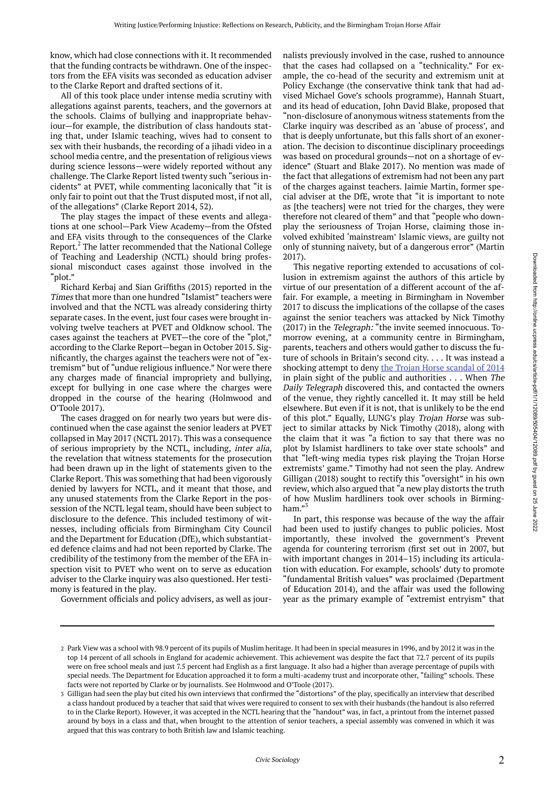know, which had close connections with it. It recommended that the funding contracts be withdrawn. One of the inspectors from the EFA visits was seconded as education adviser to the Clarke Report and drafted sections of it.

All of this took place under intense media scrutiny with allegations against parents, teachers, and the governors at the schools. Claims of bullying and inappropriate behaviour—for example, the distribution of class handouts stating that, under Islamic teaching, wives had to consent to sex with their husbands, the recording of a jihadi video in a school media centre, and the presentation of religious views during science lessons—were widely reported without any challenge. The Clarke Report listed twenty such "serious incidents" at PVET, while commenting laconically that "it is only fair to point out that the Trust disputed most, if not all, of the allegations" (Clarke Report 2014, 52).

The play stages the impact of these events and allegations at one school—Park View Academy—from the Ofsted and EFA visits through to the consequences of the Clarke Report.<sup>2</sup> The latter recommended that the National College of Teaching and Leadership (NCTL) should bring professional misconduct cases against those involved in the "plot."

Richard Kerbaj and Sian Griffiths (2015) reported in the Times that more than one hundred "Islamist" teachers were involved and that the NCTL was already considering thirty separate cases. In the event, just four cases were brought involving twelve teachers at PVET and Oldknow school. The cases against the teachers at PVET—the core of the "plot," according to the Clarke Report—began in October 2015. Significantly, the charges against the teachers were not of "extremism" but of "undue religious influence." Nor were there any charges made of financial impropriety and bullying, except for bullying in one case where the charges were dropped in the course of the hearing (Holmwood and O'Toole 2017).

The cases dragged on for nearly two years but were discontinued when the case against the senior leaders at PVET collapsed in May 2017 (NCTL 2017). This was a consequence of serious impropriety by the NCTL, including, inter alia, the revelation that witness statements for the prosecution had been drawn up in the light of statements given to the Clarke Report. This was something that had been vigorously denied by lawyers for NCTL, and it meant that those, and any unused statements from the Clarke Report in the possession of the NCTL legal team, should have been subject to disclosure to the defence. This included testimony of witnesses, including officials from Birmingham City Council and the Department for Education (DfE), which substantiated defence claims and had not been reported by Clarke. The credibility of the testimony from the member of the EFA inspection visit to PVET who went on to serve as education adviser to the Clarke inquiry was also questioned. Her testimony is featured in the play.

Government officials and policy advisers, as well as jour-

nalists previously involved in the case, rushed to announce that the cases had collapsed on a "technicality." For example, the co-head of the security and extremism unit at Policy Exchange (the conservative think tank that had advised Michael Gove's schools programme), Hannah Stuart, and its head of education, John David Blake, proposed that "non-disclosure of anonymous witness statements from the Clarke inquiry was described as an 'abuse of process', and that is deeply unfortunate, but this falls short of an exoneration. The decision to discontinue disciplinary proceedings was based on procedural grounds—not on a shortage of evidence" (Stuart and Blake 2017). No mention was made of the fact that allegations of extremism had not been any part of the charges against teachers. Jaimie Martin, former special adviser at the DfE, wrote that "it is important to note as [the teachers] were not tried for the charges, they were therefore not cleared of them" and that "people who downplay the seriousness of Trojan Horse, claiming those involved exhibited 'mainstream' Islamic views, are guilty not only of stunning naivety, but of a dangerous error" (Martin 2017).

This negative reporting extended to accusations of collusion in extremism against the authors of this article by virtue of our presentation of a different account of the affair. For example, a meeting in Birmingham in November 2017 to discuss the implications of the collapse of the cases against the senior teachers was attacked by Nick Timothy (2017) in the Telegraph: "the invite seemed innocuous. Tomorrow evening, at a community centre in Birmingham, parents, teachers and others would gather to discuss the future of schools in Britain's second city. . . . It was instead a shocking attempt to deny the Trojan Horse scandal of 2014 in plain sight of the public and authorities . . . When The Daily Telegraph discovered this, and contacted the owners of the venue, they rightly cancelled it. It may still be held elsewhere. But even if it is not, that is unlikely to be the end of this plot." Equally, LUNG's play Trojan Horse was subject to similar attacks by Nick Timothy (2018), along with the claim that it was "a fiction to say that there was no plot by Islamist hardliners to take over state schools" and that "left-wing media types risk playing the Trojan Horse extremists' game." Timothy had not seen the play. Andrew Gilligan (2018) sought to rectify this "oversight" in his own review, which also argued that "a new play distorts the truth of how Muslim hardliners took over schools in Birmingham."<sup>3</sup>

In part, this response was because of the way the affair had been used to justify changes to public policies. Most importantly, these involved the government's Prevent agenda for countering terrorism (first set out in 2007, but with important changes in 2014–15) including its articulation with education. For example, schools' duty to promote "fundamental British values" was proclaimed (Department of Education 2014), and the affair was used the following year as the primary example of "extremist entryism" that

Park View was a school with 98.9 percent of its pupils of Muslim heritage. It had been in special measures in 1996, and by 2012 it was in the 2 top 14 percent of all schools in England for academic achievement. This achievement was despite the fact that 72.7 percent of its pupils were on free school meals and just 7.5 percent had English as a first language. It also had a higher than average percentage of pupils with special needs. The Department for Education approached it to form a multi-academy trust and incorporate other, "failing" schools. These facts were not reported by Clarke or by journalists. See Holmwood and O'Toole (2017).

<sup>3</sup> Gilligan had seen the play but cited his own interviews that confirmed the "distortions" of the play, specifically an interview that described a class handout produced by a teacher that said that wives were required to consent to sex with their husbands (the handout is also referred to in the Clarke Report). However, it was accepted in the NCTL hearing that the "handout" was, in fact, a printout from the internet passed around by boys in a class and that, when brought to the attention of senior teachers, a special assembly was convened in which it was argued that this was contrary to both British law and Islamic teaching.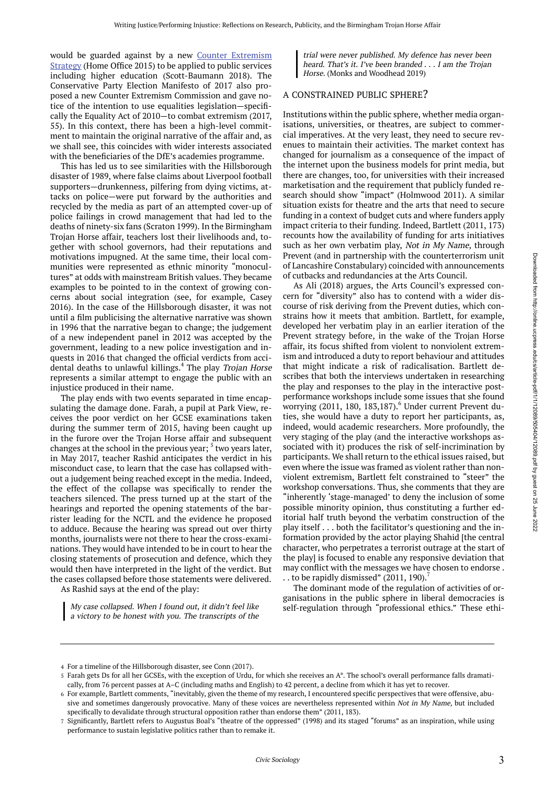would be guarded against by a new Counter Extremism Strategy (Home Office 2015) to be applied to public services including higher education (Scott-Baumann 2018). The Conservative Party Election Manifesto of 2017 also proposed a new Counter Extremism Commission and gave notice of the intention to use equalities legislation—specifically the Equality Act of 2010—to combat extremism (2017, 55). In this context, there has been a high-level commitment to maintain the original narrative of the affair and, as we shall see, this coincides with wider interests associated with the beneficiaries of the DfE's academies programme.

This has led us to see similarities with the Hillsborough disaster of 1989, where false claims about Liverpool football supporters—drunkenness, pilfering from dying victims, attacks on police—were put forward by the authorities and recycled by the media as part of an attempted cover-up of police failings in crowd management that had led to the deaths of ninety-six fans (Scraton 1999). In the Birmingham Trojan Horse affair, teachers lost their livelihoods and, together with school governors, had their reputations and motivations impugned. At the same time, their local communities were represented as ethnic minority "monocultures" at odds with mainstream British values. They became examples to be pointed to in the context of growing concerns about social integration (see, for example, Casey 2016). In the case of the Hillsborough disaster, it was not until a film publicising the alternative narrative was shown in 1996 that the narrative began to change; the judgement of a new independent panel in 2012 was accepted by the government, leading to a new police investigation and inquests in 2016 that changed the official verdicts from accidental deaths to unlawful killings.<sup>4</sup> The play Trojan Horse represents a similar attempt to engage the public with an injustice produced in their name.

The play ends with two events separated in time encapsulating the damage done. Farah, a pupil at Park View, receives the poor verdict on her GCSE examinations taken during the summer term of 2015, having been caught up in the furore over the Trojan Horse affair and subsequent changes at the school in the previous year; <sup>5</sup> two years later, in May 2017, teacher Rashid anticipates the verdict in his misconduct case, to learn that the case has collapsed without a judgement being reached except in the media. Indeed, the effect of the collapse was specifically to render the teachers silenced. The press turned up at the start of the hearings and reported the opening statements of the barrister leading for the NCTL and the evidence he proposed to adduce. Because the hearing was spread out over thirty months, journalists were not there to hear the cross-examinations. They would have intended to be in court to hear the closing statements of prosecution and defence, which they would then have interpreted in the light of the verdict. But the cases collapsed before those statements were delivered.

As Rashid says at the end of the play:

My case collapsed. When <sup>I</sup> found out, it didn't feel like <sup>a</sup> victory to be honest with you. The transcripts of the

trial were never published. My defence has never been heard. That's it. I've been branded . . . I am the Trojan Horse. (Monks and Woodhead 2019)

#### A CONSTRAINED PUBLIC SPHERE?

Institutions within the public sphere, whether media organisations, universities, or theatres, are subject to commercial imperatives. At the very least, they need to secure revenues to maintain their activities. The market context has changed for journalism as a consequence of the impact of the internet upon the business models for print media, but there are changes, too, for universities with their increased marketisation and the requirement that publicly funded research should show "impact" (Holmwood 2011). A similar situation exists for theatre and the arts that need to secure funding in a context of budget cuts and where funders apply impact criteria to their funding. Indeed, Bartlett (2011, 173) recounts how the availability of funding for arts initiatives such as her own verbatim play, Not in My Name, through Prevent (and in partnership with the counterterrorism unit of Lancashire Constabulary) coincided with announcements of cutbacks and redundancies at the Arts Council.

As Ali (2018) argues, the Arts Council's expressed concern for "diversity" also has to contend with a wider discourse of risk deriving from the Prevent duties, which constrains how it meets that ambition. Bartlett, for example, developed her verbatim play in an earlier iteration of the Prevent strategy before, in the wake of the Trojan Horse affair, its focus shifted from violent to nonviolent extremism and introduced a duty to report behaviour and attitudes that might indicate a risk of radicalisation. Bartlett describes that both the interviews undertaken in researching the play and responses to the play in the interactive postperformance workshops include some issues that she found worrying (2011, 180, 183,187).<sup>6</sup> Under current Prevent duties, she would have a duty to report her participants, as, indeed, would academic researchers. More profoundly, the very staging of the play (and the interactive workshops associated with it) produces the risk of self-incrimination by participants. We shall return to the ethical issues raised, but even where the issue was framed as violent rather than nonviolent extremism, Bartlett felt constrained to "steer" the workshop conversations. Thus, she comments that they are "inherently 'stage-managed' to deny the inclusion of some possible minority opinion, thus constituting a further editorial half truth beyond the verbatim construction of the play itself . . . both the facilitator's questioning and the information provided by the actor playing Shahid [the central character, who perpetrates a terrorist outrage at the start of the play] is focused to enable any responsive deviation that may conflict with the messages we have chosen to endorse . . . to be rapidly dismissed"  $(2011, 190)$ .

The dominant mode of the regulation of activities of organisations in the public sphere in liberal democracies is self-regulation through "professional ethics." These ethi-

For a timeline of the Hillsborough disaster, see Conn (2017). 4

Farah gets Ds for all her GCSEs, with the exception of Urdu, for which she receives an A\*. The school's overall performance falls dramati-5 cally, from 76 percent passes at A–C (including maths and English) to 42 percent, a decline from which it has yet to recover.

 $\epsilon$  For example, Bartlett comments, "inevitably, given the theme of my research, I encountered specific perspectives that were offensive, abusive and sometimes dangerously provocative. Many of these voices are nevertheless represented within Not in My Name, but included specifically to devalidate through structural opposition rather than endorse them" (2011, 183).

<sup>7</sup> Significantly, Bartlett refers to Augustus Boal's "theatre of the oppressed" (1998) and its staged "forums" as an inspiration, while using performance to sustain legislative politics rather than to remake it.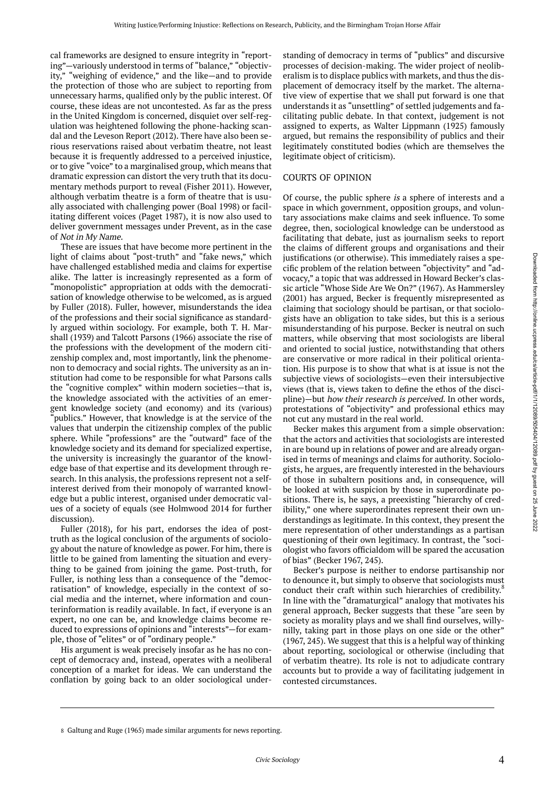cal frameworks are designed to ensure integrity in "reporting"—variously understood in terms of "balance," "objectivity," "weighing of evidence," and the like—and to provide the protection of those who are subject to reporting from unnecessary harms, qualified only by the public interest. Of course, these ideas are not uncontested. As far as the press in the United Kingdom is concerned, disquiet over self-regulation was heightened following the phone-hacking scandal and the Leveson Report (2012). There have also been serious reservations raised about verbatim theatre, not least because it is frequently addressed to a perceived injustice, or to give "voice" to a marginalised group, which means that dramatic expression can distort the very truth that its documentary methods purport to reveal (Fisher 2011). However, although verbatim theatre is a form of theatre that is usually associated with challenging power (Boal 1998) or facilitating different voices (Paget 1987), it is now also used to deliver government messages under Prevent, as in the case of Not in My Name.

These are issues that have become more pertinent in the light of claims about "post-truth" and "fake news," which have challenged established media and claims for expertise alike. The latter is increasingly represented as a form of "monopolistic" appropriation at odds with the democratisation of knowledge otherwise to be welcomed, as is argued by Fuller (2018). Fuller, however, misunderstands the idea of the professions and their social significance as standardly argued within sociology. For example, both T. H. Marshall (1939) and Talcott Parsons (1966) associate the rise of the professions with the development of the modern citizenship complex and, most importantly, link the phenomenon to democracy and social rights. The university as an institution had come to be responsible for what Parsons calls the "cognitive complex" within modern societies—that is, the knowledge associated with the activities of an emergent knowledge society (and economy) and its (various) "publics." However, that knowledge is at the service of the values that underpin the citizenship complex of the public sphere. While "professions" are the "outward" face of the knowledge society and its demand for specialized expertise, the university is increasingly the guarantor of the knowledge base of that expertise and its development through research. In this analysis, the professions represent not a selfinterest derived from their monopoly of warranted knowledge but a public interest, organised under democratic values of a society of equals (see Holmwood 2014 for further discussion).

Fuller (2018), for his part, endorses the idea of posttruth as the logical conclusion of the arguments of sociology about the nature of knowledge as power. For him, there is little to be gained from lamenting the situation and everything to be gained from joining the game. Post-truth, for Fuller, is nothing less than a consequence of the "democratisation" of knowledge, especially in the context of social media and the internet, where information and counterinformation is readily available. In fact, if everyone is an expert, no one can be, and knowledge claims become reduced to expressions of opinions and "interests"—for example, those of "elites" or of "ordinary people."

His argument is weak precisely insofar as he has no concept of democracy and, instead, operates with a neoliberal conception of a market for ideas. We can understand the conflation by going back to an older sociological under-

standing of democracy in terms of "publics" and discursive processes of decision-making. The wider project of neoliberalism is to displace publics with markets, and thus the displacement of democracy itself by the market. The alternative view of expertise that we shall put forward is one that understands it as "unsettling" of settled judgements and facilitating public debate. In that context, judgement is not assigned to experts, as Walter Lippmann (1925) famously argued, but remains the responsibility of publics and their legitimately constituted bodies (which are themselves the legitimate object of criticism).

#### COURTS OF OPINION

Of course, the public sphere is a sphere of interests and a space in which government, opposition groups, and voluntary associations make claims and seek influence. To some degree, then, sociological knowledge can be understood as facilitating that debate, just as journalism seeks to report the claims of different groups and organisations and their justifications (or otherwise). This immediately raises a specific problem of the relation between "objectivity" and "advocacy," a topic that was addressed in Howard Becker's classic article "Whose Side Are We On?" (1967). As Hammersley (2001) has argued, Becker is frequently misrepresented as claiming that sociology should be partisan, or that sociologists have an obligation to take sides, but this is a serious misunderstanding of his purpose. Becker is neutral on such matters, while observing that most sociologists are liberal and oriented to social justice, notwithstanding that others are conservative or more radical in their political orientation. His purpose is to show that what is at issue is not the subjective views of sociologists—even their intersubjective views (that is, views taken to define the ethos of the discipline)—but how their research is perceived. In other words, protestations of "objectivity" and professional ethics may not cut any mustard in the real world.

Becker makes this argument from a simple observation: that the actors and activities that sociologists are interested in are bound up in relations of power and are already organised in terms of meanings and claims for authority. Sociologists, he argues, are frequently interested in the behaviours of those in subaltern positions and, in consequence, will be looked at with suspicion by those in superordinate positions. There is, he says, a preexisting "hierarchy of credibility," one where superordinates represent their own understandings as legitimate. In this context, they present the mere representation of other understandings as a partisan questioning of their own legitimacy. In contrast, the "sociologist who favors officialdom will be spared the accusation of bias" (Becker 1967, 245).

Becker's purpose is neither to endorse partisanship nor to denounce it, but simply to observe that sociologists must conduct their craft within such hierarchies of credibility.<sup>8</sup> In line with the "dramaturgical" analogy that motivates his general approach, Becker suggests that these "are seen by society as morality plays and we shall find ourselves, willynilly, taking part in those plays on one side or the other" (1967, 245). We suggest that this is a helpful way of thinking about reporting, sociological or otherwise (including that of verbatim theatre). Its role is not to adjudicate contrary accounts but to provide a way of facilitating judgement in contested circumstances.

<sup>8</sup> Galtung and Ruge (1965) made similar arguments for news reporting.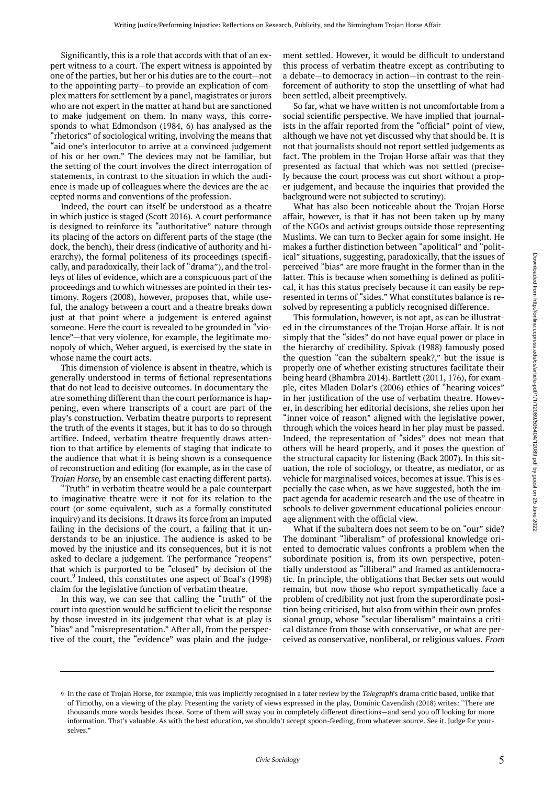Significantly, this is a role that accords with that of an expert witness to a court. The expert witness is appointed by one of the parties, but her or his duties are to the court—not to the appointing party—to provide an explication of complex matters for settlement by a panel, magistrates or jurors who are not expert in the matter at hand but are sanctioned to make judgement on them. In many ways, this corresponds to what Edmondson (1984, 6) has analysed as the "rhetorics" of sociological writing, involving the means that "aid one's interlocutor to arrive at a convinced judgement of his or her own." The devices may not be familiar, but the setting of the court involves the direct interrogation of statements, in contrast to the situation in which the audience is made up of colleagues where the devices are the accepted norms and conventions of the profession.

Indeed, the court can itself be understood as a theatre in which justice is staged (Scott 2016). A court performance is designed to reinforce its "authoritative" nature through its placing of the actors on different parts of the stage (the dock, the bench), their dress (indicative of authority and hierarchy), the formal politeness of its proceedings (specifically, and paradoxically, their lack of "drama"), and the trolleys of files of evidence, which are a conspicuous part of the proceedings and to which witnesses are pointed in their testimony. Rogers (2008), however, proposes that, while useful, the analogy between a court and a theatre breaks down just at that point where a judgement is entered against someone. Here the court is revealed to be grounded in "violence"—that very violence, for example, the legitimate monopoly of which, Weber argued, is exercised by the state in whose name the court acts.

This dimension of violence is absent in theatre, which is generally understood in terms of fictional representations that do not lead to decisive outcomes. In documentary theatre something different than the court performance is happening, even where transcripts of a court are part of the play's construction. Verbatim theatre purports to represent the truth of the events it stages, but it has to do so through artifice. Indeed, verbatim theatre frequently draws attention to that artifice by elements of staging that indicate to the audience that what it is being shown is a consequence of reconstruction and editing (for example, as in the case of Trojan Horse, by an ensemble cast enacting different parts).

"Truth" in verbatim theatre would be a pale counterpart to imaginative theatre were it not for its relation to the court (or some equivalent, such as a formally constituted inquiry) and its decisions. It draws its force from an imputed failing in the decisions of the court, a failing that it understands to be an injustice. The audience is asked to be moved by the injustice and its consequences, but it is not asked to declare a judgement. The performance "reopens" that which is purported to be "closed" by decision of the court.<sup>9</sup> Indeed, this constitutes one aspect of Boal's (1998) claim for the legislative function of verbatim theatre.

In this way, we can see that calling the "truth" of the court into question would be sufficient to elicit the response by those invested in its judgement that what is at play is "bias" and "misrepresentation." After all, from the perspective of the court, the "evidence" was plain and the judge-

ment settled. However, it would be difficult to understand this process of verbatim theatre except as contributing to a debate—to democracy in action—in contrast to the reinforcement of authority to stop the unsettling of what had been settled, albeit preemptively.

So far, what we have written is not uncomfortable from a social scientific perspective. We have implied that journalists in the affair reported from the "official" point of view, although we have not yet discussed why that should be. It is not that journalists should not report settled judgements as fact. The problem in the Trojan Horse affair was that they presented as factual that which was not settled (precisely because the court process was cut short without a proper judgement, and because the inquiries that provided the background were not subjected to scrutiny).

What has also been noticeable about the Trojan Horse affair, however, is that it has not been taken up by many of the NGOs and activist groups outside those representing Muslims. We can turn to Becker again for some insight. He makes a further distinction between "apolitical" and "political" situations, suggesting, paradoxically, that the issues of perceived "bias" are more fraught in the former than in the latter. This is because when something is defined as political, it has this status precisely because it can easily be represented in terms of "sides." What constitutes balance is resolved by representing a publicly recognised difference.

This formulation, however, is not apt, as can be illustrated in the circumstances of the Trojan Horse affair. It is not simply that the "sides" do not have equal power or place in the hierarchy of credibility. Spivak (1988) famously posed the question "can the subaltern speak?," but the issue is properly one of whether existing structures facilitate their being heard (Bhambra 2014). Bartlett (2011, 176), for example, cites Mladen Dolar's (2006) ethics of "hearing voices" in her justification of the use of verbatim theatre. However, in describing her editorial decisions, she relies upon her "inner voice of reason" aligned with the legislative power, through which the voices heard in her play must be passed. Indeed, the representation of "sides" does not mean that others will be heard properly, and it poses the question of the structural capacity for listening (Back 2007). In this situation, the role of sociology, or theatre, as mediator, or as vehicle for marginalised voices, becomes at issue. This is especially the case when, as we have suggested, both the impact agenda for academic research and the use of theatre in schools to deliver government educational policies encourage alignment with the official view.

What if the subaltern does not seem to be on "our" side? The dominant "liberalism" of professional knowledge oriented to democratic values confronts a problem when the subordinate position is, from its own perspective, potentially understood as "illiberal" and framed as antidemocratic. In principle, the obligations that Becker sets out would remain, but now those who report sympathetically face a problem of credibility not just from the superordinate position being criticised, but also from within their own professional group, whose "secular liberalism" maintains a critical distance from those with conservative, or what are perceived as conservative, nonliberal, or religious values. From

<sup>9</sup> In the case of Trojan Horse, for example, this was implicitly recognised in a later review by the *Telegraph*'s drama critic based, unlike that of Timothy, on a viewing of the play. Presenting the variety of views expressed in the play, Dominic Cavendish (2018) writes: "There are thousands more words besides those. Some of them will sway you in completely different directions—and send you off looking for more information. That's valuable. As with the best education, we shouldn't accept spoon-feeding, from whatever source. See it. Judge for yourselves."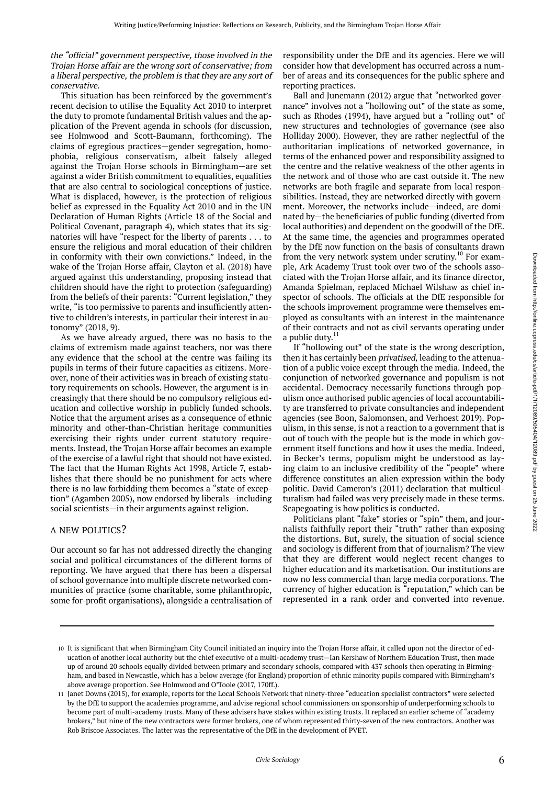#### the "official" government perspective, those involved in the Trojan Horse affair are the wrong sort of conservative; from <sup>a</sup> liberal perspective, the problem is that they are any sort of conservative.

This situation has been reinforced by the government's recent decision to utilise the Equality Act 2010 to interpret the duty to promote fundamental British values and the application of the Prevent agenda in schools (for discussion, see Holmwood and Scott-Baumann, forthcoming). The claims of egregious practices—gender segregation, homophobia, religious conservatism, albeit falsely alleged against the Trojan Horse schools in Birmingham—are set against a wider British commitment to equalities, equalities that are also central to sociological conceptions of justice. What is displaced, however, is the protection of religious belief as expressed in the Equality Act 2010 and in the UN Declaration of Human Rights (Article 18 of the Social and Political Covenant, paragraph 4), which states that its signatories will have "respect for the liberty of parents . . . to ensure the religious and moral education of their children in conformity with their own convictions." Indeed, in the wake of the Trojan Horse affair, Clayton et al. (2018) have argued against this understanding, proposing instead that children should have the right to protection (safeguarding) from the beliefs of their parents: "Current legislation," they write, "is too permissive to parents and insufficiently attentive to children's interests, in particular their interest in autonomy" (2018, 9).

As we have already argued, there was no basis to the claims of extremism made against teachers, nor was there any evidence that the school at the centre was failing its pupils in terms of their future capacities as citizens. Moreover, none of their activities was in breach of existing statutory requirements on schools. However, the argument is increasingly that there should be no compulsory religious education and collective worship in publicly funded schools. Notice that the argument arises as a consequence of ethnic minority and other-than-Christian heritage communities exercising their rights under current statutory requirements. Instead, the Trojan Horse affair becomes an example of the exercise of a lawful right that should not have existed. The fact that the Human Rights Act 1998, Article 7, establishes that there should be no punishment for acts where there is no law forbidding them becomes a "state of exception" (Agamben 2005), now endorsed by liberals—including social scientists—in their arguments against religion.

#### A NEW POLITICS?

Our account so far has not addressed directly the changing social and political circumstances of the different forms of reporting. We have argued that there has been a dispersal of school governance into multiple discrete networked communities of practice (some charitable, some philanthropic, some for-profit organisations), alongside a centralisation of

responsibility under the DfE and its agencies. Here we will consider how that development has occurred across a number of areas and its consequences for the public sphere and reporting practices.

Ball and Junemann (2012) argue that "networked governance" involves not a "hollowing out" of the state as some, such as Rhodes (1994), have argued but a "rolling out" of new structures and technologies of governance (see also Holliday 2000). However, they are rather neglectful of the authoritarian implications of networked governance, in terms of the enhanced power and responsibility assigned to the centre and the relative weakness of the other agents in the network and of those who are cast outside it. The new networks are both fragile and separate from local responsibilities. Instead, they are networked directly with government. Moreover, the networks include—indeed, are dominated by—the beneficiaries of public funding (diverted from local authorities) and dependent on the goodwill of the DfE. At the same time, the agencies and programmes operated by the DfE now function on the basis of consultants drawn from the very network system under scrutiny.<sup>10</sup> For example, Ark Academy Trust took over two of the schools associated with the Trojan Horse affair, and its finance director, Amanda Spielman, replaced Michael Wilshaw as chief inspector of schools. The officials at the DfE responsible for the schools improvement programme were themselves employed as consultants with an interest in the maintenance of their contracts and not as civil servants operating under a public duty.<sup>11</sup>

If "hollowing out" of the state is the wrong description, then it has certainly been *privatised*, leading to the attenuation of a public voice except through the media. Indeed, the conjunction of networked governance and populism is not accidental. Democracy necessarily functions through populism once authorised public agencies of local accountability are transferred to private consultancies and independent agencies (see Boon, Salomonsen, and Verhoest 2019). Populism, in this sense, is not a reaction to a government that is out of touch with the people but is the mode in which government itself functions and how it uses the media. Indeed, in Becker's terms, populism might be understood as laying claim to an inclusive credibility of the "people" where difference constitutes an alien expression within the body politic. David Cameron's (2011) declaration that multiculturalism had failed was very precisely made in these terms. Scapegoating is how politics is conducted.

Politicians plant "fake" stories or "spin" them, and journalists faithfully report their "truth" rather than exposing the distortions. But, surely, the situation of social science and sociology is different from that of journalism? The view that they are different would neglect recent changes to higher education and its marketisation. Our institutions are now no less commercial than large media corporations. The currency of higher education is "reputation," which can be represented in a rank order and converted into revenue.

<sup>10</sup> It is significant that when Birmingham City Council initiated an inquiry into the Trojan Horse affair, it called upon not the director of education of another local authority but the chief executive of a multi-academy trust—Ian Kershaw of Northern Education Trust, then made up of around 20 schools equally divided between primary and secondary schools, compared with 437 schools then operating in Birmingham, and based in Newcastle, which has a below average (for England) proportion of ethnic minority pupils compared with Birmingham's above average proportion. See Holmwood and O'Toole (2017, 170ff.).

Janet Downs (2015), for example, reports for the Local Schools Network that ninety-three "education specialist contractors" were selected 11 by the DfE to support the academies programme, and advise regional school commissioners on sponsorship of underperforming schools to become part of multi-academy trusts. Many of these advisers have stakes within existing trusts. It replaced an earlier scheme of "academy brokers," but nine of the new contractors were former brokers, one of whom represented thirty-seven of the new contractors. Another was Rob Briscoe Associates. The latter was the representative of the DfE in the development of PVET.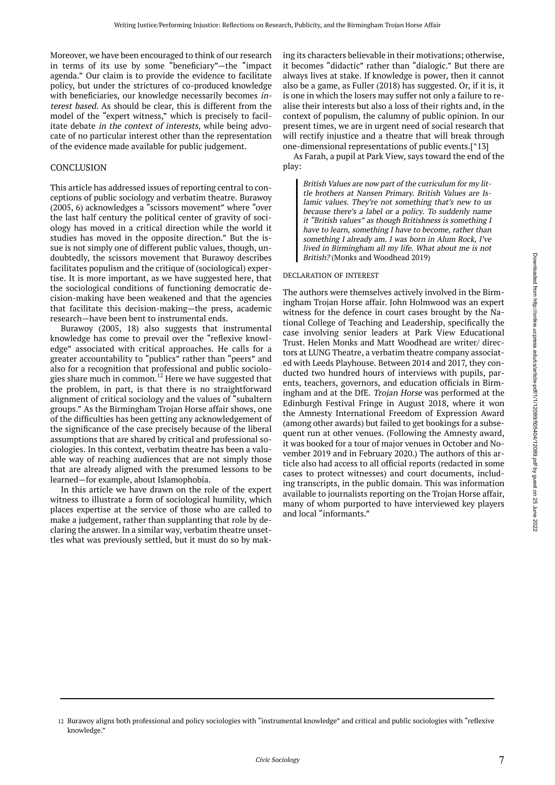Moreover, we have been encouraged to think of our research in terms of its use by some "beneficiary"—the "impact agenda." Our claim is to provide the evidence to facilitate policy, but under the strictures of co-produced knowledge with beneficiaries, our knowledge necessarily becomes interest based. As should be clear, this is different from the model of the "expert witness," which is precisely to facilitate debate in the context of interests, while being advocate of no particular interest other than the representation of the evidence made available for public judgement.

#### CONCLUSION

This article has addressed issues of reporting central to conceptions of public sociology and verbatim theatre. Burawoy (2005, 6) acknowledges a "scissors movement" where "over the last half century the political center of gravity of sociology has moved in a critical direction while the world it studies has moved in the opposite direction." But the issue is not simply one of different public values, though, undoubtedly, the scissors movement that Burawoy describes facilitates populism and the critique of (sociological) expertise. It is more important, as we have suggested here, that the sociological conditions of functioning democratic decision-making have been weakened and that the agencies that facilitate this decision-making—the press, academic research—have been bent to instrumental ends.

Burawoy (2005, 18) also suggests that instrumental knowledge has come to prevail over the "reflexive knowledge" associated with critical approaches. He calls for a greater accountability to "publics" rather than "peers" and also for a recognition that professional and public sociologies share much in common.<sup>12</sup> Here we have suggested that the problem, in part, is that there is no straightforward alignment of critical sociology and the values of "subaltern groups." As the Birmingham Trojan Horse affair shows, one of the difficulties has been getting any acknowledgement of the significance of the case precisely because of the liberal assumptions that are shared by critical and professional sociologies. In this context, verbatim theatre has been a valuable way of reaching audiences that are not simply those that are already aligned with the presumed lessons to be learned—for example, about Islamophobia.

In this article we have drawn on the role of the expert witness to illustrate a form of sociological humility, which places expertise at the service of those who are called to make a judgement, rather than supplanting that role by declaring the answer. In a similar way, verbatim theatre unsettles what was previously settled, but it must do so by making its characters believable in their motivations; otherwise, it becomes "didactic" rather than "dialogic." But there are always lives at stake. If knowledge is power, then it cannot also be a game, as Fuller (2018) has suggested. Or, if it is, it is one in which the losers may suffer not only a failure to realise their interests but also a loss of their rights and, in the context of populism, the calumny of public opinion. In our present times, we are in urgent need of social research that will rectify injustice and a theatre that will break through one-dimensional representations of public events.[^13]

As Farah, a pupil at Park View, says toward the end of the play:

British Values are now part of the curriculum for my little brothers at Nansen Primary. British Values are Islamic values. They're not something that's new to us because there's <sup>a</sup> label or <sup>a</sup> policy. To suddenly name it "British values" as though Britishness is something <sup>I</sup> have to learn, something I have to become, rather than something I already am. I was born in Alum Rock, I've lived in Birmingham all my life. What about me is not British? (Monks and Woodhead 2019)

#### DECLARATION OF INTEREST

The authors were themselves actively involved in the Birmingham Trojan Horse affair. John Holmwood was an expert witness for the defence in court cases brought by the National College of Teaching and Leadership, specifically the case involving senior leaders at Park View Educational Trust. Helen Monks and Matt Woodhead are writer/ directors at LUNG Theatre, a verbatim theatre company associated with Leeds Playhouse. Between 2014 and 2017, they conducted two hundred hours of interviews with pupils, parents, teachers, governors, and education officials in Birmingham and at the DfE. Trojan Horse was performed at the Edinburgh Festival Fringe in August 2018, where it won the Amnesty International Freedom of Expression Award (among other awards) but failed to get bookings for a subsequent run at other venues. (Following the Amnesty award, it was booked for a tour of major venues in October and November 2019 and in February 2020.) The authors of this article also had access to all official reports (redacted in some cases to protect witnesses) and court documents, including transcripts, in the public domain. This was information available to journalists reporting on the Trojan Horse affair, many of whom purported to have interviewed key players and local "informants."

<sup>12</sup> Burawoy aligns both professional and policy sociologies with "instrumental knowledge" and critical and public sociologies with "reflexive knowledge."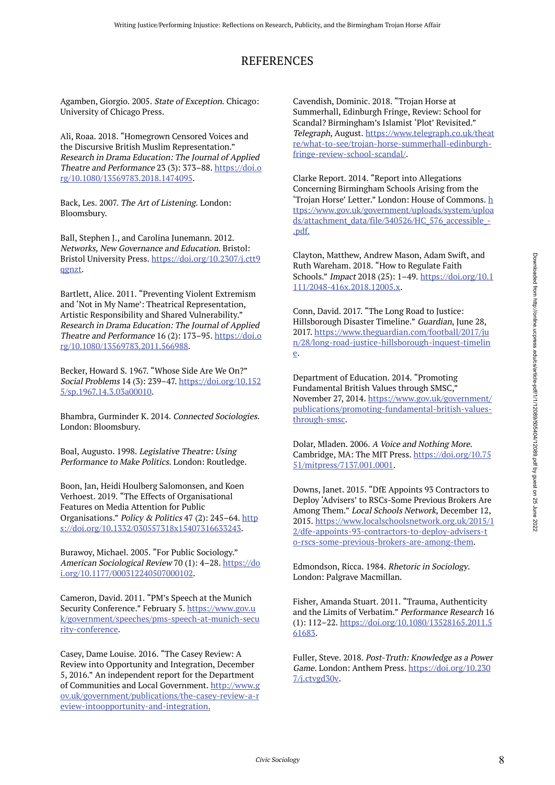## REFERENCES

Agamben, Giorgio. 2005. State of Exception. Chicago: University of Chicago Press.

Ali, Roaa. 2018. "Homegrown Censored Voices and the Discursive British Muslim Representation." Research in Drama Education: The Journal of Applied Theatre and Performance 23 (3): 373–88. https://doi.o rg/10.1080/13569783.2018.1474095.

Back, Les. 2007. The Art of Listening. London: Bloomsbury.

Ball, Stephen J., and Carolina Junemann. 2012. Networks, New Governance and Education. Bristol: Bristol University Press. https://doi.org/10.2307/j.ctt9 qgnzt.

Bartlett, Alice. 2011. "Preventing Violent Extremism and 'Not in My Name': Theatrical Representation, Artistic Responsibility and Shared Vulnerability." Research in Drama Education: The Journal of Applied Theatre and Performance 16 (2): 173–95. https://doi.o rg/10.1080/13569783.2011.566988.

Becker, Howard S. 1967. "Whose Side Are We On?" Social Problems 14 (3): 239–47. https://doi.org/10.152 5/sp.1967.14.3.03a00010.

Bhambra, Gurminder K. 2014. Connected Sociologies. London: Bloomsbury.

Boal, Augusto. 1998. Legislative Theatre: Using Performance to Make Politics. London: Routledge.

Boon, Jan, Heidi Houlberg Salomonsen, and Koen Verhoest. 2019. "The Effects of Organisational Features on Media Attention for Public Organisations." Policy & Politics 47 (2): 245–64. http s://doi.org/10.1332/030557318x15407316633243.

Burawoy, Michael. 2005. "For Public Sociology." American Sociological Review 70 (1): 4–28. https://do i.org/10.1177/000312240507000102.

Cameron, David. 2011. "PM's Speech at the Munich Security Conference." February 5. https://www.gov.u k/government/speeches/pms-speech-at-munich-secu rity-conference.

Casey, Dame Louise. 2016. "The Casey Review: A Review into Opportunity and Integration, December 5, 2016." An independent report for the Department of Communities and Local Government. http://www.g ov.uk/government/publications/the-casey-review-a-r eview-intoopportunity-and-integration.

Cavendish, Dominic. 2018. "Trojan Horse at Summerhall, Edinburgh Fringe, Review: School for Scandal? Birmingham's Islamist 'Plot' Revisited." Telegraph, August. https://www.telegraph.co.uk/theat re/what-to-see/trojan-horse-summerhall-edinburghfringe-review-school-scandal/.

Clarke Report. 2014. "Report into Allegations Concerning Birmingham Schools Arising from the 'Trojan Horse' Letter." London: House of Commons. h ttps://www.gov.uk/government/uploads/system/uploa ds/attachment\_data/file/340526/HC\_576\_accessible\_- .pdf.

Clayton, Matthew, Andrew Mason, Adam Swift, and Ruth Wareham. 2018. "How to Regulate Faith Schools." Impact 2018 (25): 1–49. https://doi.org/10.1 111/2048-416x.2018.12005.x.

Conn, David. 2017. "The Long Road to Justice: Hillsborough Disaster Timeline." Guardian, June 28, 2017. https://www.theguardian.com/football/2017/ju n/28/long-road-justice-hillsborough-inquest-timelin e.

Department of Education. 2014. "Promoting Fundamental British Values through SMSC," November 27, 2014. https://www.gov.uk/government/ publications/promoting-fundamental-british-valuesthrough-smsc.

Dolar, Mladen. 2006. A Voice and Nothing More. Cambridge, MA: The MIT Press. https://doi.org/10.75 51/mitpress/7137.001.0001.

Downs, Janet. 2015. "DfE Appoints 93 Contractors to Deploy 'Advisers' to RSCs-Some Previous Brokers Are Among Them." Local Schools Network, December 12, 2015. https://www.localschoolsnetwork.org.uk/2015/1 2/dfe-appoints-93-contractors-to-deploy-advisers-t o-rscs-some-previous-brokers-are-among-them.

Edmondson, Ricca. 1984. Rhetoric in Sociology. London: Palgrave Macmillan.

Fisher, Amanda Stuart. 2011. "Trauma, Authenticity and the Limits of Verbatim." Performance Research 16 (1): 112–22. https://doi.org/10.1080/13528165.2011.5 61683.

Fuller, Steve. 2018. Post-Truth: Knowledge as a Power Game. London: Anthem Press. https://doi.org/10.230 7/j.ctvgd30v.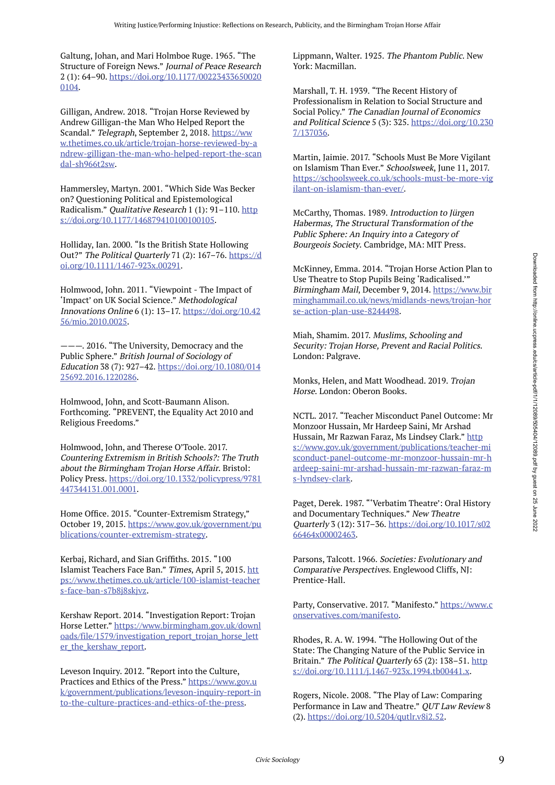Galtung, Johan, and Mari Holmboe Ruge. 1965. "The Structure of Foreign News." Journal of Peace Research 2 (1): 64–90. https://doi.org/10.1177/00223433650020 0104.

Gilligan, Andrew. 2018. "Trojan Horse Reviewed by Andrew Gilligan-the Man Who Helped Report the Scandal." Telegraph, September 2, 2018. https://ww w.thetimes.co.uk/article/trojan-horse-reviewed-by-a ndrew-gilligan-the-man-who-helped-report-the-scan dal-sh966t2sw.

Hammersley, Martyn. 2001. "Which Side Was Becker on? Questioning Political and Epistemological Radicalism." Qualitative Research 1 (1): 91-110. http s://doi.org/10.1177/146879410100100105.

Holliday, Ian. 2000. "Is the British State Hollowing Out?" The Political Quarterly 71 (2): 167-76. https://d oi.org/10.1111/1467-923x.00291.

Holmwood, John. 2011. "Viewpoint - The Impact of 'Impact' on UK Social Science." Methodological Innovations Online 6 (1): 13–17. https://doi.org/10.42 56/mio.2010.0025.

———. 2016. "The University, Democracy and the Public Sphere." British Journal of Sociology of Education 38 (7): 927–42. https://doi.org/10.1080/014 25692.2016.1220286.

Holmwood, John, and Scott-Baumann Alison. Forthcoming. "PREVENT, the Equality Act 2010 and Religious Freedoms."

Holmwood, John, and Therese O'Toole. 2017. Countering Extremism in British Schools?: The Truth about the Birmingham Trojan Horse Affair. Bristol: Policy Press. https://doi.org/10.1332/policypress/9781 447344131.001.0001.

Home Office. 2015. "Counter-Extremism Strategy," October 19, 2015. https://www.gov.uk/government/pu blications/counter-extremism-strategy.

Kerbaj, Richard, and Sian Griffiths. 2015. "100 Islamist Teachers Face Ban." Times, April 5, 2015. htt ps://www.thetimes.co.uk/article/100-islamist-teacher s-face-ban-s7b8j8skjvz.

Kershaw Report. 2014. "Investigation Report: Trojan Horse Letter." https://www.birmingham.gov.uk/downl oads/file/1579/investigation\_report\_trojan\_horse\_lett er\_the\_kershaw\_report.

Leveson Inquiry. 2012. "Report into the Culture, Practices and Ethics of the Press." https://www.gov.u k/government/publications/leveson-inquiry-report-in to-the-culture-practices-and-ethics-of-the-press.

Lippmann, Walter. 1925. The Phantom Public. New York: Macmillan.

Marshall, T. H. 1939. "The Recent History of Professionalism in Relation to Social Structure and Social Policy." The Canadian Journal of Economics and Political Science 5 (3): 325. https://doi.org/10.230 7/137036.

Martin, Jaimie. 2017. "Schools Must Be More Vigilant on Islamism Than Ever." Schoolsweek, June 11, 2017. https://schoolsweek.co.uk/schools-must-be-more-vig ilant-on-islamism-than-ever/.

McCarthy, Thomas. 1989. Introduction to Jürgen Habermas, The Structural Transformation of the Public Sphere: An Inquiry into a Category of Bourgeois Society. Cambridge, MA: MIT Press.

McKinney, Emma. 2014. "Trojan Horse Action Plan to Use Theatre to Stop Pupils Being 'Radicalised.'" Birmingham Mail, December 9, 2014. https://www.bir minghammail.co.uk/news/midlands-news/trojan-hor se-action-plan-use-8244498.

Miah, Shamim. 2017. Muslims, Schooling and Security: Trojan Horse, Prevent and Racial Politics. London: Palgrave.

Monks, Helen, and Matt Woodhead. 2019. Trojan Horse. London: Oberon Books.

NCTL. 2017. "Teacher Misconduct Panel Outcome: Mr Monzoor Hussain, Mr Hardeep Saini, Mr Arshad Hussain, Mr Razwan Faraz, Ms Lindsey Clark." http s://www.gov.uk/government/publications/teacher-mi sconduct-panel-outcome-mr-monzoor-hussain-mr-h ardeep-saini-mr-arshad-hussain-mr-razwan-faraz-m s-lyndsey-clark.

Paget, Derek. 1987. "'Verbatim Theatre': Oral History and Documentary Techniques." New Theatre Quarterly 3 (12): 317–36. https://doi.org/10.1017/s02 66464x00002463.

Parsons, Talcott. 1966. Societies: Evolutionary and Comparative Perspectives. Englewood Cliffs, NJ: Prentice-Hall.

Party, Conservative. 2017. "Manifesto." https://www.c onservatives.com/manifesto.

Rhodes, R. A. W. 1994. "The Hollowing Out of the State: The Changing Nature of the Public Service in Britain." The Political Quarterly 65 (2): 138-51. http s://doi.org/10.1111/j.1467-923x.1994.tb00441.x.

Rogers, Nicole. 2008. "The Play of Law: Comparing Performance in Law and Theatre." QUT Law Review 8 (2). https://doi.org/10.5204/qutlr.v8i2.52.